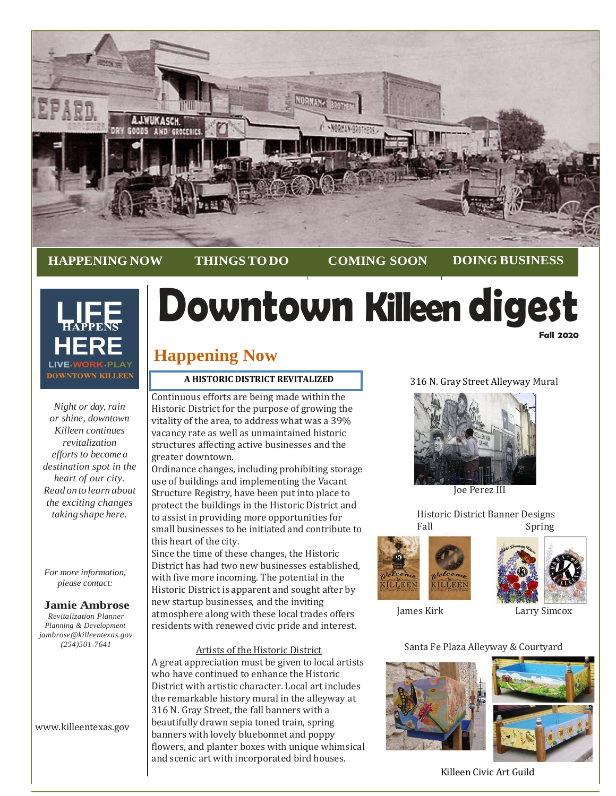

**HAPPENING NOW THINGSTODO COMING SOON DOING BUSINESS**



*Night or day, rain or shine, downtown Killeen continues revitalization efforts to become a destination spot in the heart of our city. Read on to learn about the exciting changes taking shape here.*

*For more information, please contact:*

# **Jamie Ambrose**

*Revitalization Planner Planning & Development jambrose@killeentexas.gov (254)501-7641*

[www.killeentexas.gov](http://www.killeentexas.gov/)

# **Downtown Killeen digest Fall 2020**

# **Happening Now**

# **A HISTORIC DISTRICT REVITALIZED**

Continuous efforts are being made within the Historic District for the purpose of growing the vitality of the area, to address what was a 39% vacancy rate as well as unmaintained historic structures affecting active businesses and the greater downtown.

Ordinance changes, including prohibiting storage use of buildings and implementing the Vacant Structure Registry, have been put into place to protect the buildings in the Historic District and to assist in providing more opportunities for small businesses to be initiated and contribute to this heart of the city.

Since the time of these changes, the Historic District has had two new businesses established, with five more incoming. The potential in the Historic District is apparent and sought after by new startup businesses, and the inviting atmosphere along with these local trades offers residents with renewed civic pride and interest.

Artists of the Historic District A great appreciation must be given to local artists who have continued to enhance the Historic District with artistic character. Local art includes the remarkable history mural in the alleyway at 316 N. Gray Street, the fall banners with a beautifully drawn sepia toned train, spring banners with lovely bluebonnet and poppy flowers, and planter boxes with unique whimsical and scenic art with incorporated bird houses.

# 316 N. Gray Street Alleyway Mural



Joe Perez III

 Historic District Banner Designs Spring







James Kirk Larry Simcox

Santa Fe Plaza Alleyway & Courtyard





Killeen Civic Art Guild